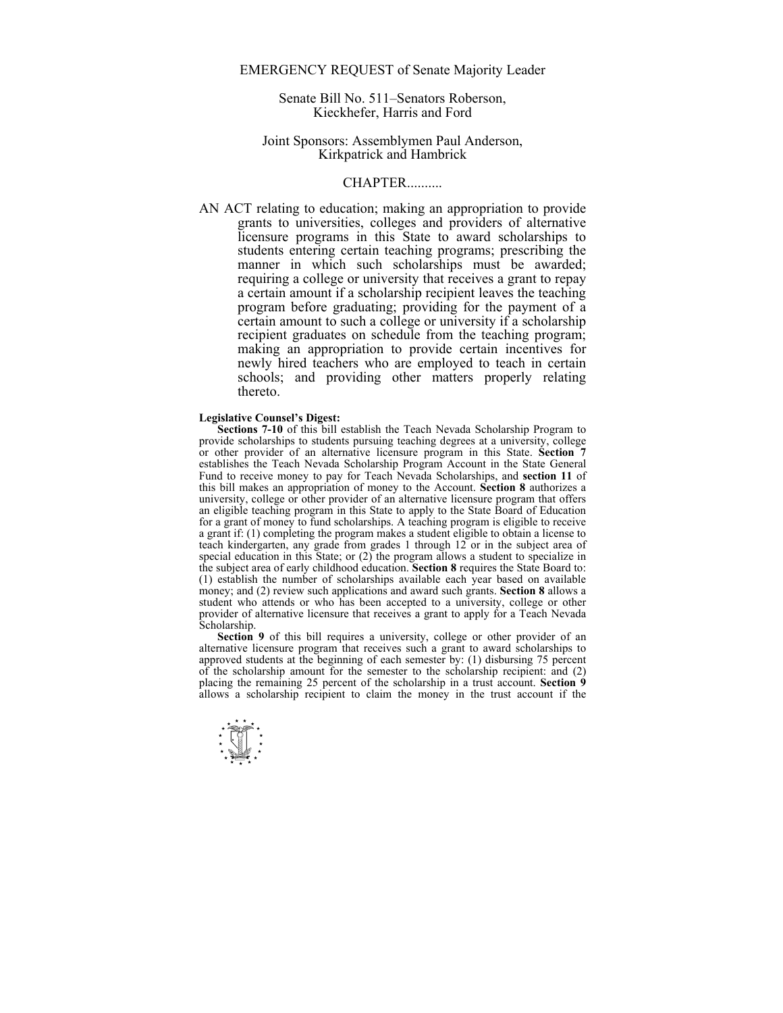# EMERGENCY REQUEST of Senate Majority Leader

Senate Bill No. 511–Senators Roberson, Kieckhefer, Harris and Ford

## Joint Sponsors: Assemblymen Paul Anderson, Kirkpatrick and Hambrick

## **CHAPTER**

AN ACT relating to education; making an appropriation to provide grants to universities, colleges and providers of alternative licensure programs in this State to award scholarships to students entering certain teaching programs; prescribing the manner in which such scholarships must be awarded; requiring a college or university that receives a grant to repay a certain amount if a scholarship recipient leaves the teaching program before graduating; providing for the payment of a certain amount to such a college or university if a scholarship recipient graduates on schedule from the teaching program; making an appropriation to provide certain incentives for newly hired teachers who are employed to teach in certain schools; and providing other matters properly relating thereto.

#### **Legislative Counsel's Digest:**

**Sections 7-10** of this bill establish the Teach Nevada Scholarship Program to provide scholarships to students pursuing teaching degrees at a university, college or other provider of an alternative licensure program in this State. **Section 7** establishes the Teach Nevada Scholarship Program Account in the State General Fund to receive money to pay for Teach Nevada Scholarships, and **section 11** of this bill makes an appropriation of money to the Account. **Section 8** authorizes a university, college or other provider of an alternative licensure program that offers an eligible teaching program in this State to apply to the State Board of Education for a grant of money to fund scholarships. A teaching program is eligible to receive a grant if: (1) completing the program makes a student eligible to obtain a license to teach kindergarten, any grade from grades 1 through 12 or in the subject area of special education in this State; or (2) the program allows a student to specialize in the subject area of early childhood education. **Section 8** requires the State Board to: (1) establish the number of scholarships available each year based on available money; and (2) review such applications and award such grants. **Section 8** allows a student who attends or who has been accepted to a university, college or other provider of alternative licensure that receives a grant to apply for a Teach Nevada Scholarship.

Section 9 of this bill requires a university, college or other provider of an alternative licensure program that receives such a grant to award scholarships to approved students at the beginning of each semester by: (1) disbursing 75 percent of the scholarship amount for the semester to the scholarship recipient: and (2) placing the remaining 25 percent of the scholarship in a trust account. **Section 9** allows a scholarship recipient to claim the money in the trust account if the

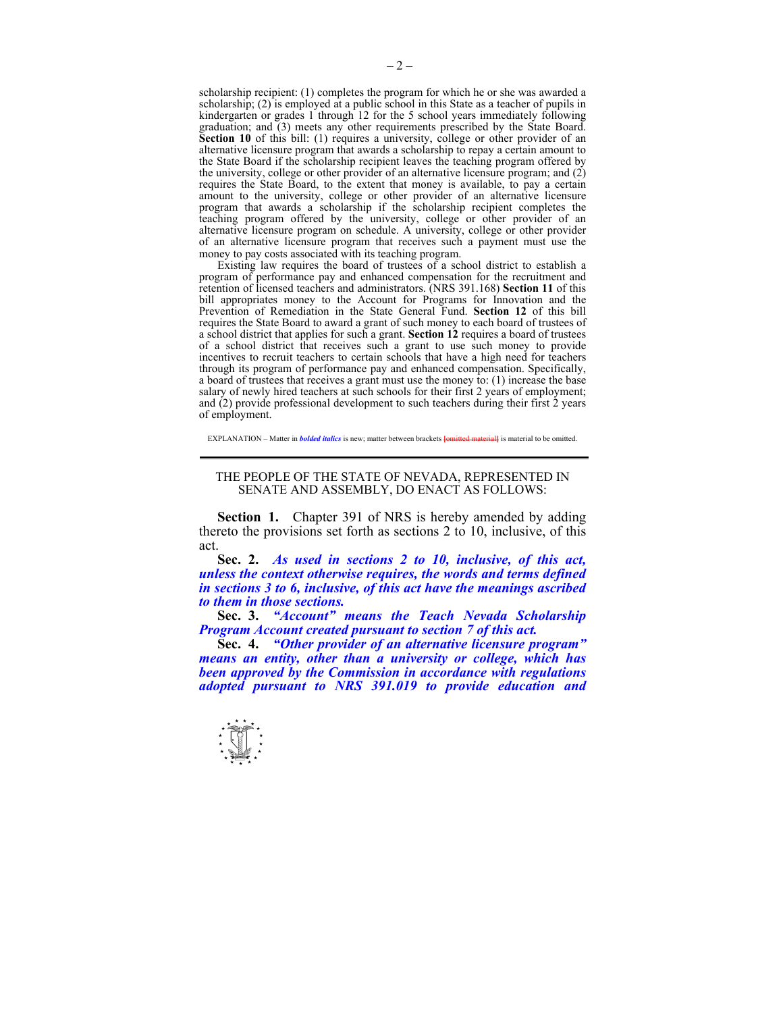scholarship recipient: (1) completes the program for which he or she was awarded a scholarship; (2) is employed at a public school in this State as a teacher of pupils in kindergarten or grades 1 through 12 for the 5 school years immediately following graduation; and (3) meets any other requirements prescribed by the State Board. **Section 10** of this bill: (1) requires a university, college or other provider of an alternative licensure program that awards a scholarship to repay a certain amount to the State Board if the scholarship recipient leaves the teaching program offered by the university, college or other provider of an alternative licensure program; and (2) requires the State Board, to the extent that money is available, to pay a certain amount to the university, college or other provider of an alternative licensure program that awards a scholarship if the scholarship recipient completes the teaching program offered by the university, college or other provider of an alternative licensure program on schedule. A university, college or other provider of an alternative licensure program that receives such a payment must use the money to pay costs associated with its teaching program.

 Existing law requires the board of trustees of a school district to establish a program of performance pay and enhanced compensation for the recruitment and retention of licensed teachers and administrators. (NRS 391.168) **Section 11** of this bill appropriates money to the Account for Programs for Innovation and the Prevention of Remediation in the State General Fund. **Section 12** of this bill requires the State Board to award a grant of such money to each board of trustees of a school district that applies for such a grant. **Section 12** requires a board of trustees of a school district that receives such a grant to use such money to provide incentives to recruit teachers to certain schools that have a high need for teachers through its program of performance pay and enhanced compensation. Specifically, a board of trustees that receives a grant must use the money to: (1) increase the base salary of newly hired teachers at such schools for their first 2 years of employment; and (2) provide professional development to such teachers during their first 2 years of employment.

EXPLANATION – Matter in *bolded italics* is new; matter between brackets **[**omitted material**]** is material to be omitted.

#### THE PEOPLE OF THE STATE OF NEVADA, REPRESENTED IN SENATE AND ASSEMBLY, DO ENACT AS FOLLOWS:

**Section 1.** Chapter 391 of NRS is hereby amended by adding thereto the provisions set forth as sections 2 to 10, inclusive, of this act.

 **Sec. 2.** *As used in sections 2 to 10, inclusive, of this act, unless the context otherwise requires, the words and terms defined in sections 3 to 6, inclusive, of this act have the meanings ascribed to them in those sections.* 

 **Sec. 3.** *"Account" means the Teach Nevada Scholarship Program Account created pursuant to section 7 of this act.* 

 **Sec. 4.** *"Other provider of an alternative licensure program" means an entity, other than a university or college, which has been approved by the Commission in accordance with regulations adopted pursuant to NRS 391.019 to provide education and* 

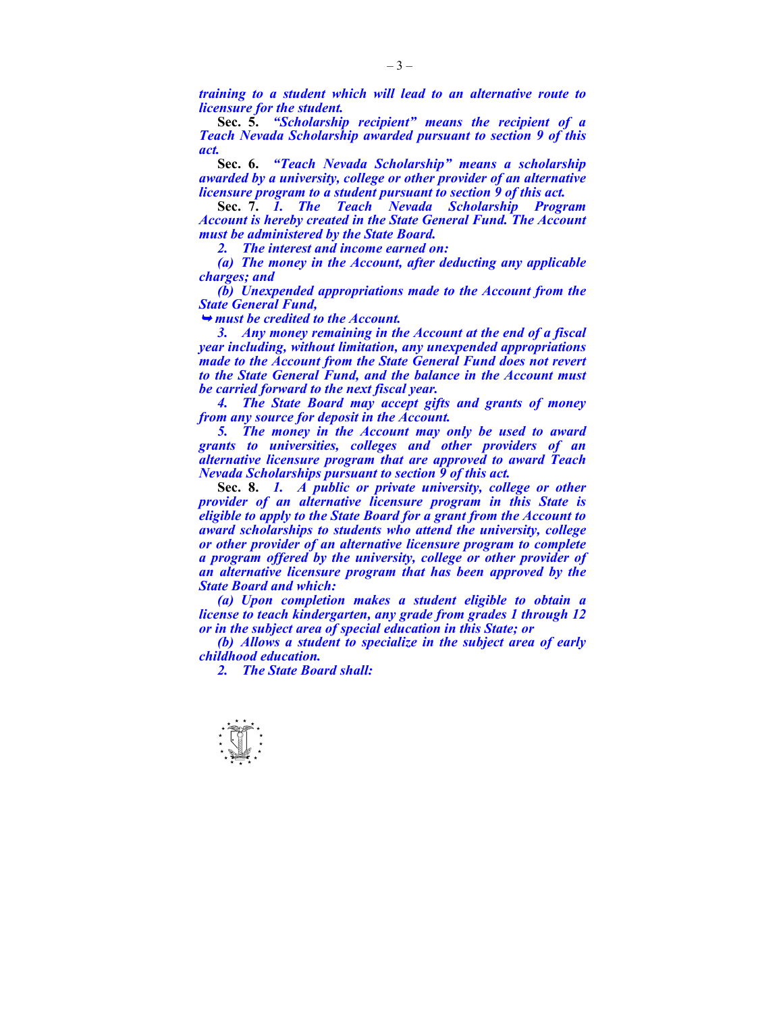*training to a student which will lead to an alternative route to licensure for the student.* 

 **Sec. 5.** *"Scholarship recipient" means the recipient of a Teach Nevada Scholarship awarded pursuant to section 9 of this act.* 

 **Sec. 6.** *"Teach Nevada Scholarship" means a scholarship awarded by a university, college or other provider of an alternative licensure program to a student pursuant to section 9 of this act.* 

 **Sec. 7.** *1. The Teach Nevada Scholarship Program Account is hereby created in the State General Fund. The Account must be administered by the State Board.* 

 *2. The interest and income earned on:* 

 *(a) The money in the Account, after deducting any applicable charges; and* 

 *(b) Unexpended appropriations made to the Account from the State General Fund,* 

<sup>¬</sup> *must be credited to the Account.* 

 *3. Any money remaining in the Account at the end of a fiscal year including, without limitation, any unexpended appropriations made to the Account from the State General Fund does not revert to the State General Fund, and the balance in the Account must be carried forward to the next fiscal year.* 

 *4. The State Board may accept gifts and grants of money from any source for deposit in the Account.* 

 *5. The money in the Account may only be used to award grants to universities, colleges and other providers of an alternative licensure program that are approved to award Teach Nevada Scholarships pursuant to section 9 of this act.* 

 **Sec. 8.** *1. A public or private university, college or other provider of an alternative licensure program in this State is eligible to apply to the State Board for a grant from the Account to award scholarships to students who attend the university, college or other provider of an alternative licensure program to complete a program offered by the university, college or other provider of an alternative licensure program that has been approved by the State Board and which:* 

 *(a) Upon completion makes a student eligible to obtain a license to teach kindergarten, any grade from grades 1 through 12 or in the subject area of special education in this State; or* 

 *(b) Allows a student to specialize in the subject area of early childhood education.* 

 *2. The State Board shall:* 

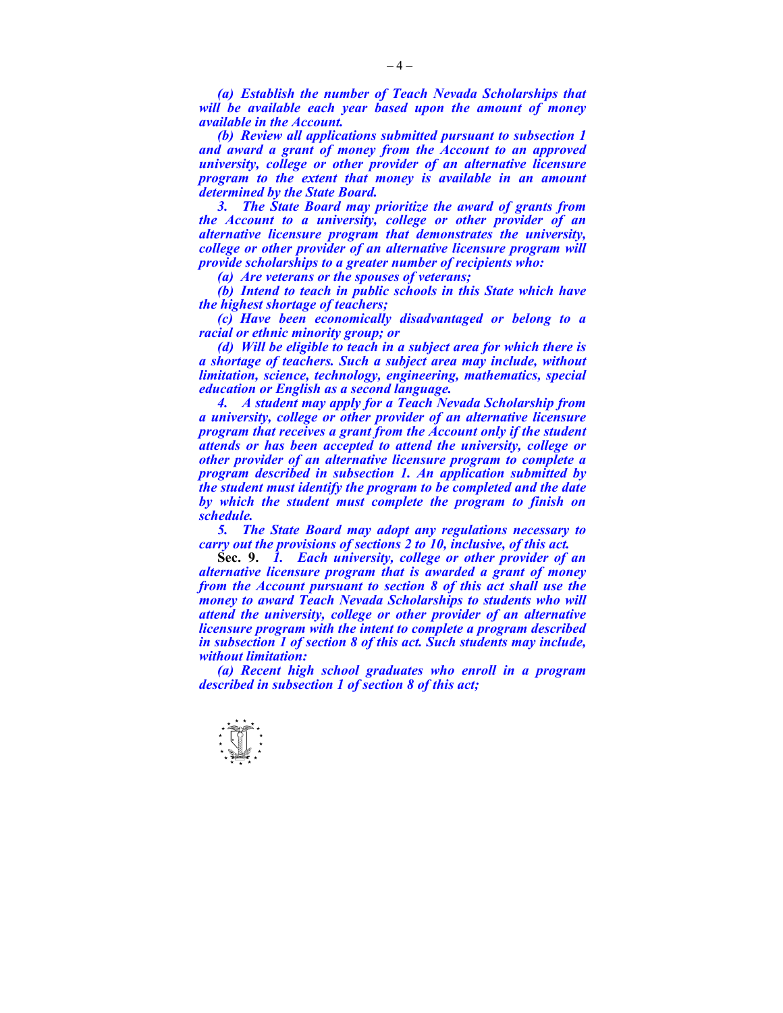*(a) Establish the number of Teach Nevada Scholarships that will be available each year based upon the amount of money available in the Account.* 

 *(b) Review all applications submitted pursuant to subsection 1 and award a grant of money from the Account to an approved university, college or other provider of an alternative licensure program to the extent that money is available in an amount determined by the State Board.* 

 *3. The State Board may prioritize the award of grants from the Account to a university, college or other provider of an alternative licensure program that demonstrates the university, college or other provider of an alternative licensure program will provide scholarships to a greater number of recipients who:* 

 *(a) Are veterans or the spouses of veterans;* 

 *(b) Intend to teach in public schools in this State which have the highest shortage of teachers;* 

 *(c) Have been economically disadvantaged or belong to a racial or ethnic minority group; or* 

 *(d) Will be eligible to teach in a subject area for which there is a shortage of teachers. Such a subject area may include, without limitation, science, technology, engineering, mathematics, special education or English as a second language.* 

 *4. A student may apply for a Teach Nevada Scholarship from a university, college or other provider of an alternative licensure program that receives a grant from the Account only if the student attends or has been accepted to attend the university, college or other provider of an alternative licensure program to complete a program described in subsection 1. An application submitted by the student must identify the program to be completed and the date by which the student must complete the program to finish on schedule.* 

 *5. The State Board may adopt any regulations necessary to carry out the provisions of sections 2 to 10, inclusive, of this act.* 

 **Sec. 9.** *1. Each university, college or other provider of an alternative licensure program that is awarded a grant of money from the Account pursuant to section 8 of this act shall use the money to award Teach Nevada Scholarships to students who will attend the university, college or other provider of an alternative licensure program with the intent to complete a program described in subsection 1 of section 8 of this act. Such students may include, without limitation:* 

 *(a) Recent high school graduates who enroll in a program described in subsection 1 of section 8 of this act;* 

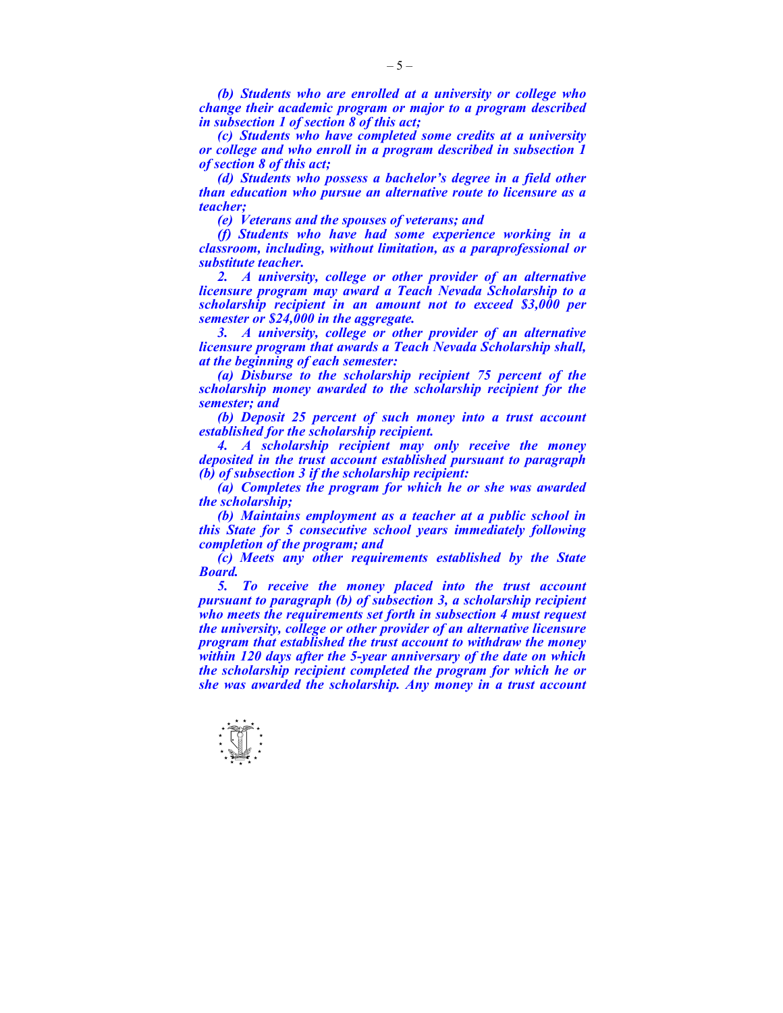*(b) Students who are enrolled at a university or college who change their academic program or major to a program described in subsection 1 of section 8 of this act;* 

 *(c) Students who have completed some credits at a university or college and who enroll in a program described in subsection 1 of section 8 of this act;* 

 *(d) Students who possess a bachelor's degree in a field other than education who pursue an alternative route to licensure as a teacher;* 

 *(e) Veterans and the spouses of veterans; and* 

 *(f) Students who have had some experience working in a classroom, including, without limitation, as a paraprofessional or substitute teacher.* 

 *2. A university, college or other provider of an alternative licensure program may award a Teach Nevada Scholarship to a scholarship recipient in an amount not to exceed \$3,000 per semester or \$24,000 in the aggregate.* 

 *3. A university, college or other provider of an alternative licensure program that awards a Teach Nevada Scholarship shall, at the beginning of each semester:* 

 *(a) Disburse to the scholarship recipient 75 percent of the scholarship money awarded to the scholarship recipient for the semester; and* 

 *(b) Deposit 25 percent of such money into a trust account established for the scholarship recipient.* 

 *4. A scholarship recipient may only receive the money deposited in the trust account established pursuant to paragraph (b) of subsection 3 if the scholarship recipient:* 

 *(a) Completes the program for which he or she was awarded the scholarship;* 

 *(b) Maintains employment as a teacher at a public school in this State for 5 consecutive school years immediately following completion of the program; and* 

 *(c) Meets any other requirements established by the State Board.* 

 *5. To receive the money placed into the trust account pursuant to paragraph (b) of subsection 3, a scholarship recipient who meets the requirements set forth in subsection 4 must request the university, college or other provider of an alternative licensure program that established the trust account to withdraw the money within 120 days after the 5-year anniversary of the date on which the scholarship recipient completed the program for which he or she was awarded the scholarship. Any money in a trust account* 

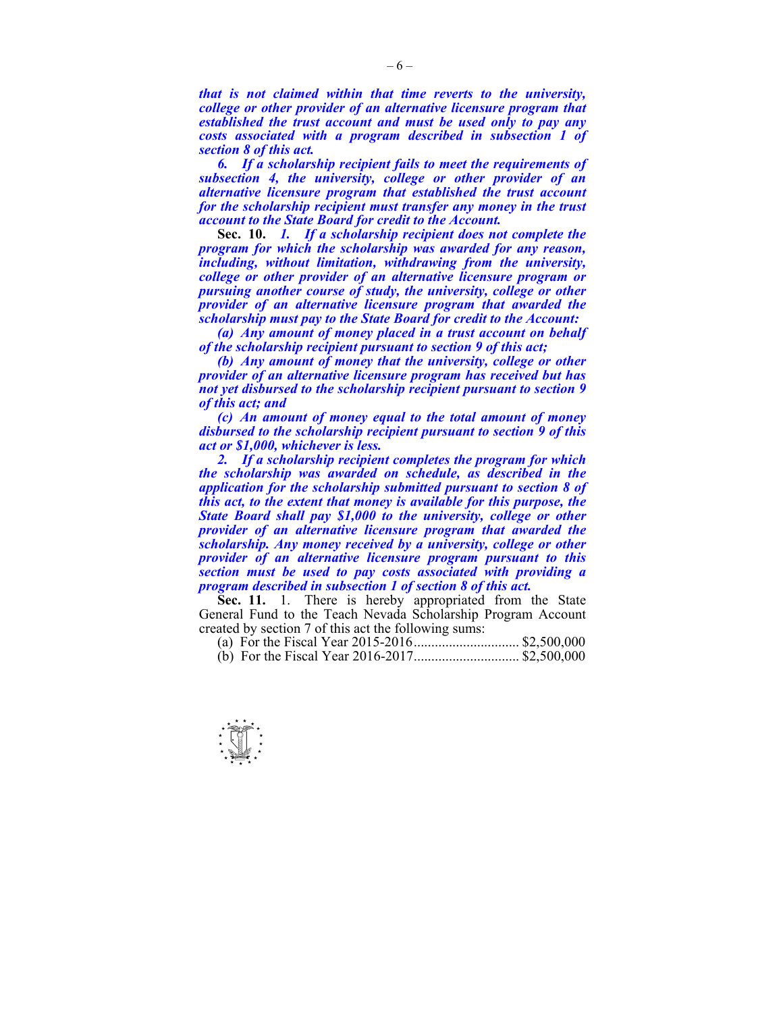*that is not claimed within that time reverts to the university, college or other provider of an alternative licensure program that established the trust account and must be used only to pay any costs associated with a program described in subsection 1 of section 8 of this act.* 

 *6. If a scholarship recipient fails to meet the requirements of subsection 4, the university, college or other provider of an alternative licensure program that established the trust account for the scholarship recipient must transfer any money in the trust account to the State Board for credit to the Account.* 

 **Sec. 10.** *1. If a scholarship recipient does not complete the program for which the scholarship was awarded for any reason, including, without limitation, withdrawing from the university, college or other provider of an alternative licensure program or pursuing another course of study, the university, college or other provider of an alternative licensure program that awarded the scholarship must pay to the State Board for credit to the Account:* 

 *(a) Any amount of money placed in a trust account on behalf of the scholarship recipient pursuant to section 9 of this act;* 

 *(b) Any amount of money that the university, college or other provider of an alternative licensure program has received but has not yet disbursed to the scholarship recipient pursuant to section 9 of this act; and* 

 *(c) An amount of money equal to the total amount of money disbursed to the scholarship recipient pursuant to section 9 of this act or \$1,000, whichever is less.* 

 *2. If a scholarship recipient completes the program for which the scholarship was awarded on schedule, as described in the application for the scholarship submitted pursuant to section 8 of this act, to the extent that money is available for this purpose, the State Board shall pay \$1,000 to the university, college or other provider of an alternative licensure program that awarded the scholarship. Any money received by a university, college or other provider of an alternative licensure program pursuant to this section must be used to pay costs associated with providing a program described in subsection 1 of section 8 of this act.* 

**Sec. 11.** 1. There is hereby appropriated from the State General Fund to the Teach Nevada Scholarship Program Account created by section 7 of this act the following sums:

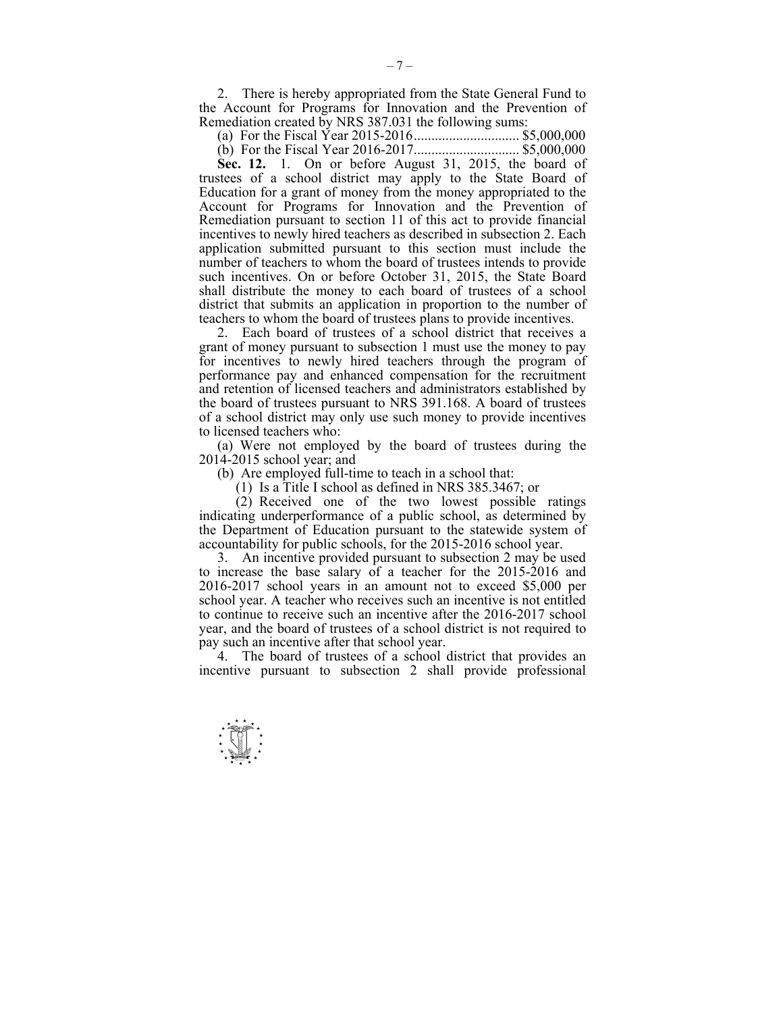2. There is hereby appropriated from the State General Fund to the Account for Programs for Innovation and the Prevention of Remediation created by NRS 387.031 the following sums:

(a) For the Fiscal Year 2015-2016 .............................. \$5,000,000

 (b) For the Fiscal Year 2016-2017 .............................. \$5,000,000  **Sec. 12.** 1. On or before August 31, 2015, the board of trustees of a school district may apply to the State Board of Education for a grant of money from the money appropriated to the Account for Programs for Innovation and the Prevention of Remediation pursuant to section 11 of this act to provide financial incentives to newly hired teachers as described in subsection 2. Each application submitted pursuant to this section must include the number of teachers to whom the board of trustees intends to provide such incentives. On or before October 31, 2015, the State Board shall distribute the money to each board of trustees of a school district that submits an application in proportion to the number of teachers to whom the board of trustees plans to provide incentives.

 2. Each board of trustees of a school district that receives a grant of money pursuant to subsection 1 must use the money to pay for incentives to newly hired teachers through the program of performance pay and enhanced compensation for the recruitment and retention of licensed teachers and administrators established by the board of trustees pursuant to NRS 391.168. A board of trustees of a school district may only use such money to provide incentives to licensed teachers who:

 (a) Were not employed by the board of trustees during the 2014-2015 school year; and

(b) Are employed full-time to teach in a school that:

(1) Is a Title I school as defined in NRS 385.3467; or

 $(2)$  Received one of the two lowest possible ratings indicating underperformance of a public school, as determined by the Department of Education pursuant to the statewide system of accountability for public schools, for the 2015-2016 school year.

 3. An incentive provided pursuant to subsection 2 may be used to increase the base salary of a teacher for the 2015-2016 and 2016-2017 school years in an amount not to exceed \$5,000 per school year. A teacher who receives such an incentive is not entitled to continue to receive such an incentive after the 2016-2017 school year, and the board of trustees of a school district is not required to pay such an incentive after that school year.

 4. The board of trustees of a school district that provides an incentive pursuant to subsection 2 shall provide professional